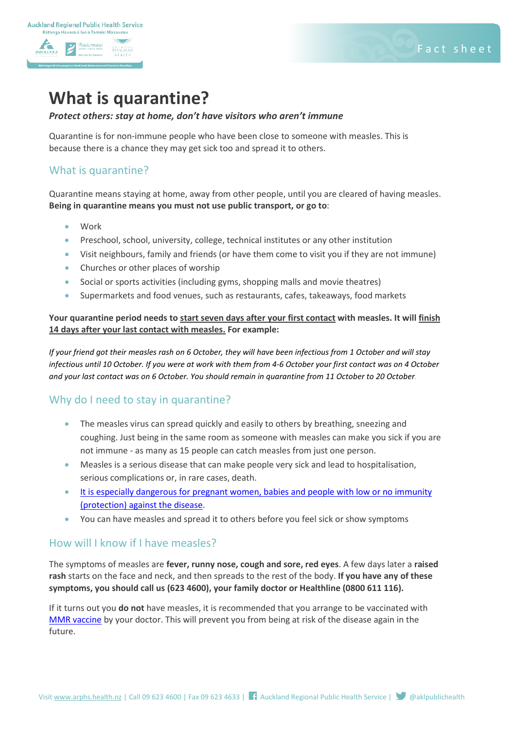

# **What is quarantine?**

#### *Protect others: stay at home, don't have visitors who aren't immune*

Quarantine is for non-immune people who have been close to someone with measles. This is because there is a chance they may get sick too and spread it to others.

#### What is quarantine?

Quarantine means staying at home, away from other people, until you are cleared of having measles. **Being in quarantine means you must not use public transport, or go to**:

- **Work**
- Preschool, school, university, college, technical institutes or any other institution
- Visit neighbours, family and friends (or have them come to visit you if they are not immune)
- Churches or other places of worship
- Social or sports activities (including gyms, shopping malls and movie theatres)
- Supermarkets and food venues, such as restaurants, cafes, takeaways, food markets

#### **Your quarantine period needs to start seven days after your first contact with measles. It will finish 14 days after your last contact with measles. For example:**

*If your friend got their measles rash on 6 October, they will have been infectious from 1 October and will stay infectious until 10 October. If you were at work with them from 4-6 October your first contact was on 4 October and your last contact was on 6 October. You should remain in quarantine from 11 October to 20 October.*

## Why do I need to stay in quarantine?

- The measles virus can spread quickly and easily to others by breathing, sneezing and coughing. Just being in the same room as someone with measles can make you sick if you are not immune - as many as 15 people can catch measles from just one person.
- Measles is a serious disease that can make people very sick and lead to hospitalisation, serious complications or, in rare cases, death.
- It is especially dangerous for pregnant women, babies and people with low or no immunity [\(protection\) against the disease.](https://www.arphs.health.nz/assets/Uploads/Resources/Disease-and-illness/Measles-Mumps-Rubella/Measles-People-at-high-risk-in-a-measles-outbreak-FINAL-2019-April-17.pdf)
- You can have measles and spread it to others before you feel sick or show symptoms

## How will I know if I have measles?

The symptoms of measles are **fever, runny nose, cough and sore, red eyes**. A few days later a **raised rash** starts on the face and neck, and then spreads to the rest of the body. **If you have any of these symptoms, you should call us (623 4600), your family doctor or Healthline (0800 611 116).**

If it turns out you **do not** have measles, it is recommended that you arrange to be vaccinated with [MMR vaccine](https://arphs.health.nz/assets/Uploads/Resources/Disease-and-illness/Measles-Mumps-Rubella/MeaslesMumpsRubella-MMR-Vaccine-FINAL-2019-April-16.pdf) by your doctor. This will prevent you from being at risk of the disease again in the future.